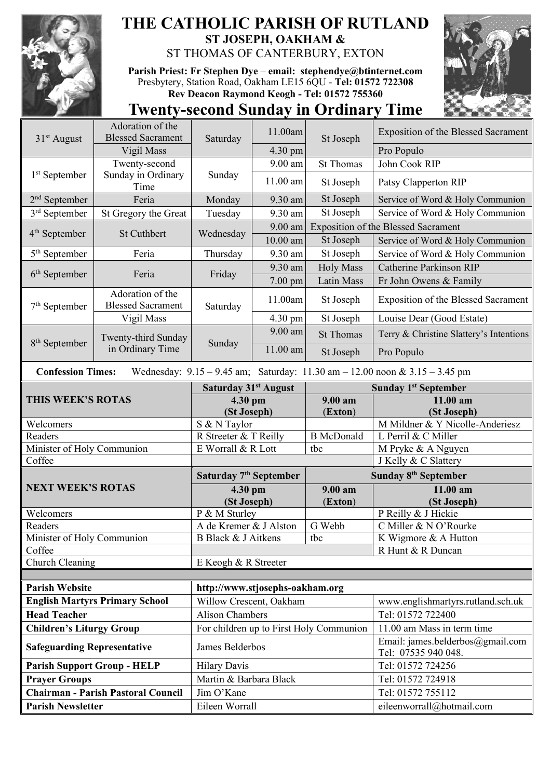

## **THE CATHOLIC PARISH OF RUTLAND ST JOSEPH, OAKHAM &**  ST THOMAS OF CANTERBURY, EXTON

**Parish Priest: Fr Stephen Dye** – **[email: stephendye@btinternet.com](mailto:email:%20%20stephendye@btinternet.com)** Presbytery, Station Road, Oakham LE15 6QU - **Tel: 01572 722308 Rev Deacon Raymond Keogh - Tel: 01572 755360**



## **Twenty-second Sunday in Ordinary Time**

| $31st$ August                                                                                                   | Adoration of the<br><b>Blessed Sacrament</b> | Saturday                           | 11.00am    | St Joseph                               | <b>Exposition of the Blessed Sacrament</b>              |  |
|-----------------------------------------------------------------------------------------------------------------|----------------------------------------------|------------------------------------|------------|-----------------------------------------|---------------------------------------------------------|--|
|                                                                                                                 | Vigil Mass                                   |                                    | 4.30 pm    |                                         | Pro Populo                                              |  |
| $1st$ September                                                                                                 | Twenty-second                                | Sunday                             | 9.00 am    | <b>St Thomas</b>                        | John Cook RIP                                           |  |
|                                                                                                                 | Sunday in Ordinary<br>Time                   |                                    | 11.00 am   | St Joseph                               | Patsy Clapperton RIP                                    |  |
| $2nd$ September                                                                                                 | Feria                                        | Monday                             | 9.30 am    | St Joseph                               | Service of Word & Holy Communion                        |  |
| $3rd$ September                                                                                                 | St Gregory the Great                         | Tuesday                            | 9.30 am    | St Joseph                               | Service of Word & Holy Communion                        |  |
| $4th$ September                                                                                                 | <b>St Cuthbert</b>                           | Wednesday                          | 9.00 am    |                                         | <b>Exposition of the Blessed Sacrament</b>              |  |
|                                                                                                                 |                                              |                                    | $10.00$ am | St Joseph                               | Service of Word & Holy Communion                        |  |
| $5th$ September                                                                                                 | Feria                                        | Thursday                           | 9.30 am    | St Joseph                               | Service of Word & Holy Communion                        |  |
|                                                                                                                 | Feria                                        | Friday                             | 9.30 am    | <b>Holy Mass</b>                        | <b>Catherine Parkinson RIP</b>                          |  |
| $6th$ September                                                                                                 |                                              |                                    | 7.00 pm    | Latin Mass                              | Fr John Owens & Family                                  |  |
| $7th$ September                                                                                                 | Adoration of the<br><b>Blessed Sacrament</b> | Saturday                           | 11.00am    | St Joseph                               | <b>Exposition of the Blessed Sacrament</b>              |  |
|                                                                                                                 | Vigil Mass                                   |                                    | 4.30 pm    | St Joseph                               | Louise Dear (Good Estate)                               |  |
|                                                                                                                 | Twenty-third Sunday<br>in Ordinary Time      | Sunday                             | 9.00 am    | <b>St Thomas</b>                        | Terry & Christine Slattery's Intentions                 |  |
| $8th$ September                                                                                                 |                                              |                                    | $11.00$ am | St Joseph                               | Pro Populo                                              |  |
| <b>Confession Times:</b><br>Wednesday: $9.15 - 9.45$ am; Saturday: $11.30$ am $- 12.00$ noon & $3.15 - 3.45$ pm |                                              |                                    |            |                                         |                                                         |  |
| THIS WEEK'S ROTAS                                                                                               |                                              | Saturday 31 <sup>st</sup> August   |            |                                         | <b>Sunday 1st September</b>                             |  |
|                                                                                                                 |                                              | 4.30 pm<br>(St Joseph)             |            | 9.00 am<br>(Exton)                      | 11.00 am<br>(St Joseph)                                 |  |
| Welcomers                                                                                                       |                                              | S & N Taylor                       |            |                                         | M Mildner & Y Nicolle-Anderiesz                         |  |
| Readers                                                                                                         |                                              | R Streeter & T Reilly              |            | <b>B</b> McDonald                       | L Perril & C Miller                                     |  |
| Minister of Holy Communion                                                                                      |                                              | E Worrall & R Lott                 |            | tbc                                     | M Pryke & A Nguyen                                      |  |
| Coffee                                                                                                          |                                              |                                    |            |                                         |                                                         |  |
|                                                                                                                 |                                              |                                    |            |                                         | J Kelly & C Slattery                                    |  |
|                                                                                                                 |                                              | Saturday 7 <sup>th</sup> September |            |                                         | Sunday 8 <sup>th</sup> September                        |  |
| <b>NEXT WEEK'S ROTAS</b>                                                                                        |                                              | 4.30 pm                            |            | 9.00 am                                 | 11.00 am                                                |  |
|                                                                                                                 |                                              | (St Joseph)                        |            | (Exton)                                 | (St Joseph)                                             |  |
| Welcomers                                                                                                       |                                              | P & M Sturley                      |            |                                         | P Reilly & J Hickie                                     |  |
| Readers                                                                                                         |                                              | A de Kremer & J Alston             |            | G Webb                                  | C Miller & N O'Rourke                                   |  |
| Minister of Holy Communion                                                                                      |                                              | B Black & J Aitkens                |            | tbc                                     | K Wigmore & A Hutton                                    |  |
| Coffee                                                                                                          |                                              |                                    |            |                                         | R Hunt & R Duncan                                       |  |
| Church Cleaning                                                                                                 |                                              | E Keogh & R Streeter               |            |                                         |                                                         |  |
| <b>Parish Website</b>                                                                                           |                                              | http://www.stjosephs-oakham.org    |            |                                         |                                                         |  |
|                                                                                                                 | <b>English Martyrs Primary School</b>        | Willow Crescent, Oakham            |            |                                         | www.englishmartyrs.rutland.sch.uk                       |  |
| <b>Head Teacher</b>                                                                                             |                                              | <b>Alison Chambers</b>             |            |                                         | Tel: 01572 722400                                       |  |
| <b>Children's Liturgy Group</b>                                                                                 |                                              |                                    |            | For children up to First Holy Communion | 11.00 am Mass in term time                              |  |
| <b>Safeguarding Representative</b>                                                                              |                                              | James Belderbos                    |            |                                         | Email: james.belderbos@gmail.com<br>Tel: 07535 940 048. |  |
| <b>Parish Support Group - HELP</b>                                                                              |                                              | <b>Hilary Davis</b>                |            |                                         | Tel: 01572 724256                                       |  |
| <b>Prayer Groups</b>                                                                                            |                                              | Martin & Barbara Black             |            |                                         | Tel: 01572 724918                                       |  |
|                                                                                                                 | <b>Chairman - Parish Pastoral Council</b>    | Jim O'Kane                         |            |                                         | Tel: 01572 755112                                       |  |